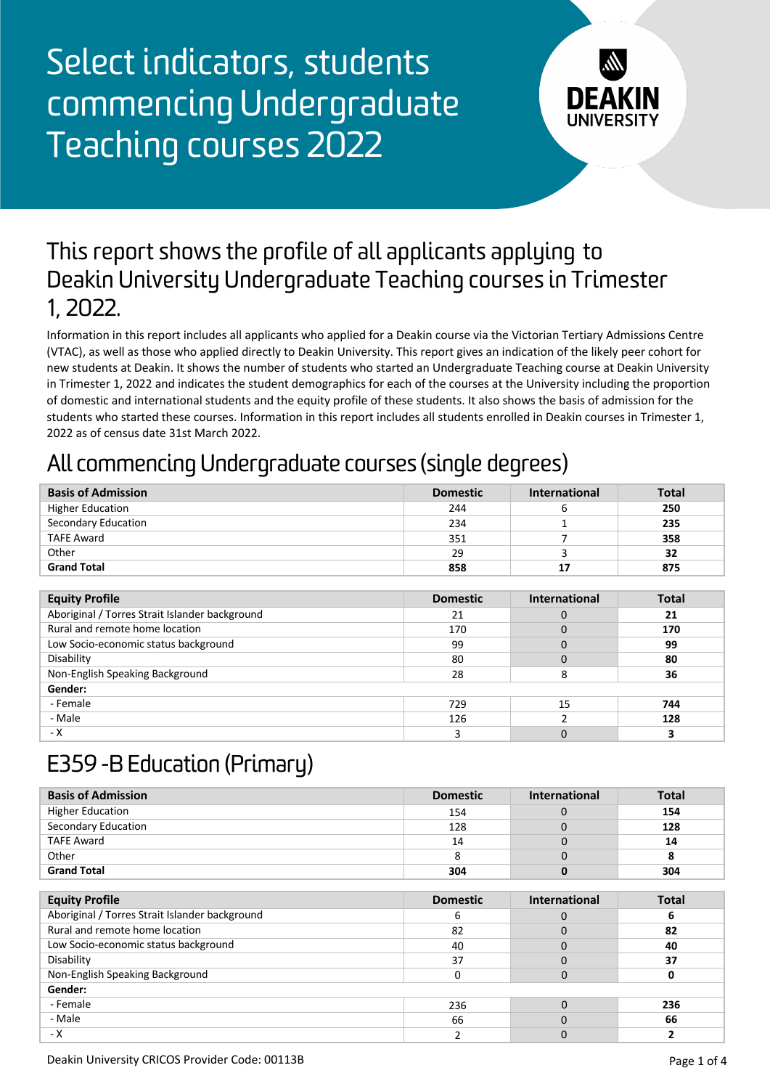

#### This report shows the profile of all applicants applying to Deakin University Undergraduate Teaching courses in Trimester 1, 2022.

Information in this report includes all applicants who applied for a Deakin course via the Victorian Tertiary Admissions Centre (VTAC), as well as those who applied directly to Deakin University. This report gives an indication of the likely peer cohort for new students at Deakin. It shows the number of students who started an Undergraduate Teaching course at Deakin University in Trimester 1, 2022 and indicates the student demographics for each of the courses at the University including the proportion of domestic and international students and the equity profile of these students. It also shows the basis of admission for the students who started these courses. Information in this report includes all students enrolled in Deakin courses in Trimester 1, 2022 as of census date 31st March 2022.

### All commencing Undergraduate courses (single degrees)

| <b>Basis of Admission</b> | <b>Domestic</b> | <b>International</b> | <b>Total</b> |
|---------------------------|-----------------|----------------------|--------------|
| <b>Higher Education</b>   | 244             |                      | 250          |
| Secondary Education       | 234             |                      | 235          |
| <b>TAFE Award</b>         | 351             |                      | 358          |
| Other                     | 29              |                      | 32           |
| <b>Grand Total</b>        | 858             | 17                   | 875          |

| <b>Equity Profile</b>                          | <b>Domestic</b> | <b>International</b> | <b>Total</b> |
|------------------------------------------------|-----------------|----------------------|--------------|
| Aboriginal / Torres Strait Islander background | 21              |                      | 21           |
| Rural and remote home location                 | 170             |                      | 170          |
| Low Socio-economic status background           | 99              |                      | 99           |
| Disability                                     | 80              |                      | 80           |
| Non-English Speaking Background                | 28              |                      | 36           |
| Gender:                                        |                 |                      |              |
| - Female                                       | 729             | 15                   | 744          |
| - Male                                         | 126             |                      | 128          |
| - X                                            |                 |                      |              |

### E359 -B Education (Primary)

| <b>Basis of Admission</b> | <b>Domestic</b> | <b>International</b> | <b>Total</b> |
|---------------------------|-----------------|----------------------|--------------|
| <b>Higher Education</b>   | 154             |                      | 154          |
| Secondary Education       | 128             |                      | 128          |
| <b>TAFE Award</b>         | 14              |                      | 14           |
| Other                     |                 |                      |              |
| <b>Grand Total</b>        | 304             |                      | 304          |

| <b>Equity Profile</b>                          | <b>Domestic</b> | <b>International</b> | <b>Total</b> |
|------------------------------------------------|-----------------|----------------------|--------------|
| Aboriginal / Torres Strait Islander background | b               |                      |              |
| Rural and remote home location                 | 82              |                      | 82           |
| Low Socio-economic status background           | 40              |                      | 40           |
| Disability                                     | 37              |                      | 37           |
| Non-English Speaking Background                |                 |                      |              |
| Gender:                                        |                 |                      |              |
| - Female                                       | 236             |                      | 236          |
| - Male                                         | 66              |                      | 66           |
| - X                                            |                 |                      |              |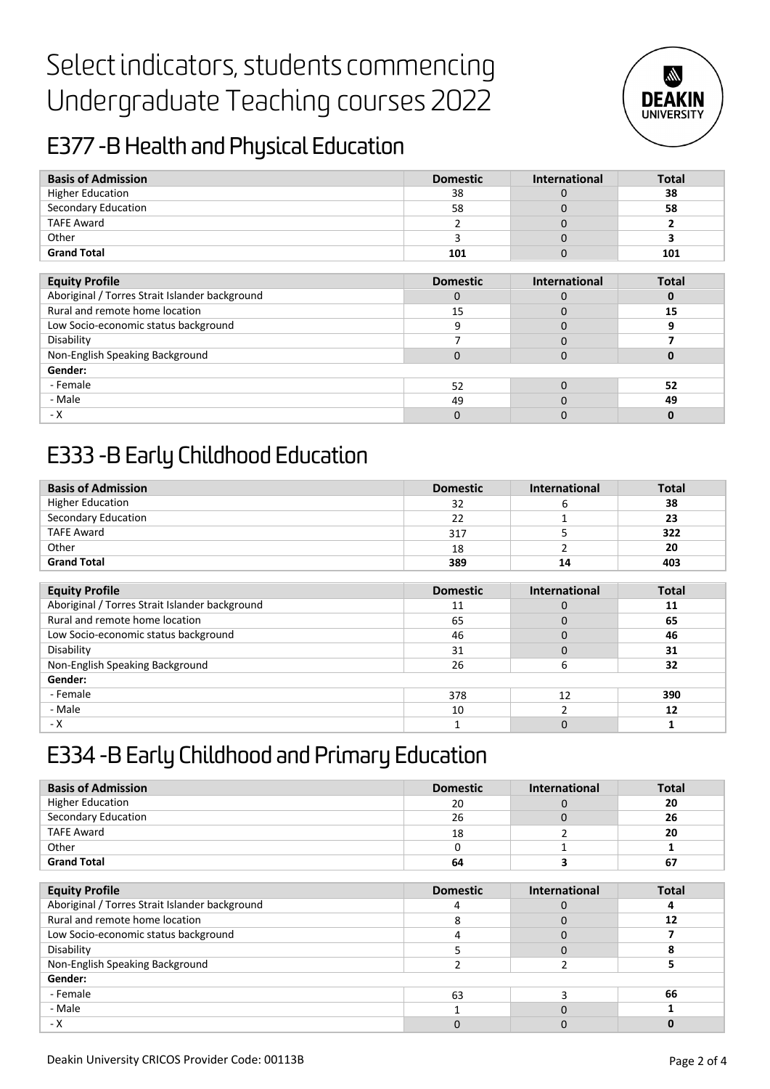

### E377 -B Health and Physical Education

| <b>Basis of Admission</b>                      | <b>Domestic</b> | <b>International</b> | <b>Total</b> |
|------------------------------------------------|-----------------|----------------------|--------------|
| <b>Higher Education</b>                        | 38              | $\Omega$             | 38           |
| Secondary Education                            | 58              | 0                    | 58           |
| <b>TAFE Award</b>                              |                 | 0                    |              |
| Other                                          | 3               | $\Omega$             | 3            |
| <b>Grand Total</b>                             | 101             | 0                    | 101          |
|                                                |                 |                      |              |
| <b>Equity Profile</b>                          | <b>Domestic</b> | <b>International</b> | <b>Total</b> |
| Aboriginal / Torres Strait Islander background | $\Omega$        | $\Omega$             | 0            |
| Rural and remote home location                 | 15              | 0                    | 15           |
| Low Socio-economic status background           | 9               | 0                    | 9            |
| Disability                                     | 7               | $\Omega$             |              |
| Non-English Speaking Background                | $\mathbf 0$     | $\Omega$             | 0            |
| Gender:                                        |                 |                      |              |
| - Female                                       | 52              | $\Omega$             | 52           |
| - Male                                         | 49              | 0                    | 49           |
| - X                                            | 0               | $\Omega$             | $\bf{0}$     |

### E333 -B Early Childhood Education

| <b>Basis of Admission</b> | <b>Domestic</b> | International | <b>Total</b> |
|---------------------------|-----------------|---------------|--------------|
| <b>Higher Education</b>   | 32              |               | 38           |
| Secondary Education       | 22              |               | 23           |
| <b>TAFE Award</b>         | 317             |               | 322          |
| Other                     | 18              |               | 20           |
| <b>Grand Total</b>        | 389             | 14            | 403          |

| <b>Equity Profile</b>                          | <b>Domestic</b> | <b>International</b> | <b>Total</b> |
|------------------------------------------------|-----------------|----------------------|--------------|
| Aboriginal / Torres Strait Islander background | 11              |                      | 11           |
| Rural and remote home location                 | 65              |                      | 65           |
| Low Socio-economic status background           | 46              |                      | 46           |
| Disability                                     | 31              |                      | 31           |
| Non-English Speaking Background                | 26              |                      | 32           |
| Gender:                                        |                 |                      |              |
| - Female                                       | 378             | 12                   | 390          |
| - Male                                         | 10              |                      | 12           |
| - X                                            |                 |                      |              |

### E334 -B Early Childhood and Primary Education

| <b>Basis of Admission</b>                      | <b>Domestic</b> | <b>International</b> | <b>Total</b> |
|------------------------------------------------|-----------------|----------------------|--------------|
| <b>Higher Education</b>                        | 20              | 0                    | 20           |
| Secondary Education                            | 26              | 0                    | 26           |
| <b>TAFE Award</b>                              | 18              | 2                    | 20           |
| Other                                          | $\Omega$        |                      |              |
| <b>Grand Total</b>                             | 64              | з                    | 67           |
|                                                |                 |                      |              |
| <b>Equity Profile</b>                          | <b>Domestic</b> | <b>International</b> | <b>Total</b> |
| Aboriginal / Torres Strait Islander background | 4               | 0                    | 4            |
| Rural and remote home location                 | 8               | 0                    | 12           |
| Low Socio-economic status background           | 4               | 0                    |              |
| Disability                                     | 5               | 0                    | 8            |
| Non-English Speaking Background                | 2               | 2                    | 5.           |
| Gender:                                        |                 |                      |              |
| - Female                                       | 63              | 3                    | 66           |
| - Male                                         |                 |                      |              |
| - X                                            | $\Omega$        | 0                    | $\bf{0}$     |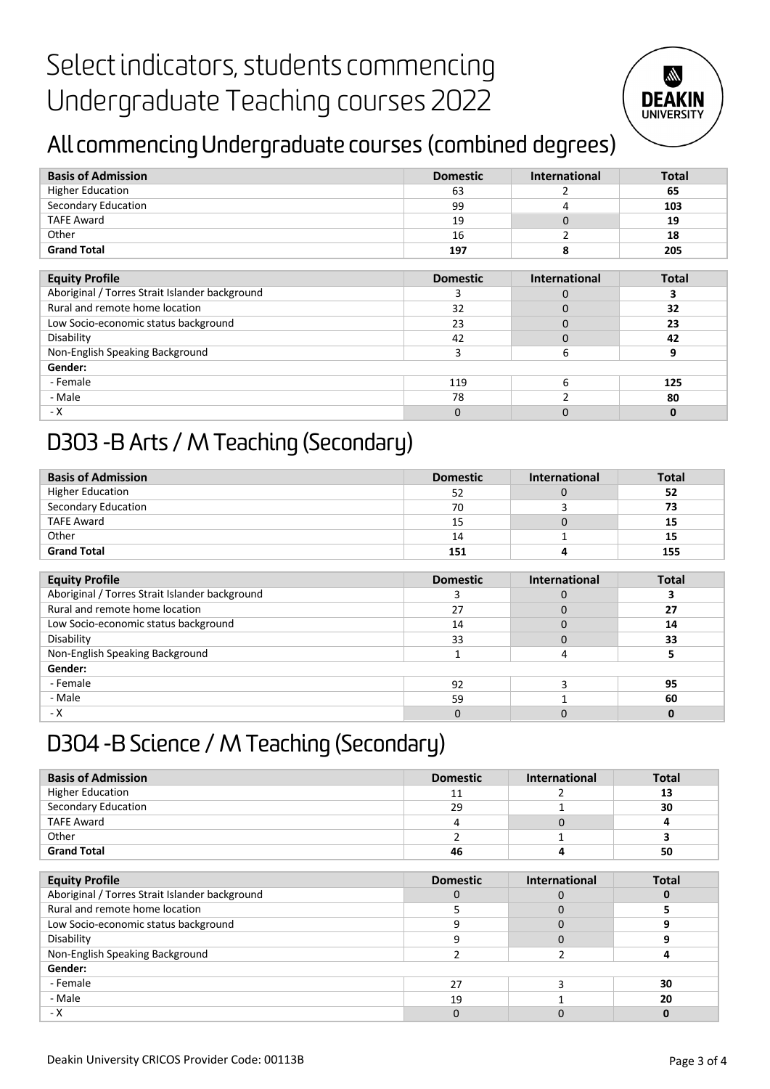

### All commencingUndergraduate courses (combined degrees)

| <b>Basis of Admission</b>                      | <b>Domestic</b> | International        | <b>Total</b> |
|------------------------------------------------|-----------------|----------------------|--------------|
| <b>Higher Education</b>                        | 63              |                      | 65           |
| Secondary Education                            | 99              | 4                    | 103          |
| <b>TAFE Award</b>                              | 19              | 0                    | 19           |
| Other                                          | 16              |                      | 18           |
| <b>Grand Total</b>                             | 197             | 8                    | 205          |
|                                                |                 |                      |              |
| <b>Equity Profile</b>                          | <b>Domestic</b> | <b>International</b> | <b>Total</b> |
| Aboriginal / Torres Strait Islander background | 3               | 0                    | 3            |
| Rural and remote home location                 | 32              | 0                    | 32           |
| Low Socio-economic status background           | 23              | 0                    | 23           |
| Disability                                     | 42              | 0                    | 42           |
| Non-English Speaking Background                | 3               | 6                    | 9            |
| Gender:                                        |                 |                      |              |
| - Female                                       | 119             | 6                    | 125          |
| - Male                                         | 78              |                      | 80           |
| - X                                            | 0               | 0                    | $\Omega$     |

### D303 -B Arts / M Teaching (Secondary)

| <b>Basis of Admission</b> | <b>Domestic</b> | <b>International</b> | <b>Total</b> |
|---------------------------|-----------------|----------------------|--------------|
| <b>Higher Education</b>   | 52              |                      | 52           |
| Secondary Education       | 70              |                      | 73           |
| <b>TAFE Award</b>         | 15              |                      | 15           |
| Other                     | 14              |                      | 15           |
| <b>Grand Total</b>        | 151             |                      | 155          |

| <b>Equity Profile</b>                          | <b>Domestic</b> | <b>International</b> | <b>Total</b> |
|------------------------------------------------|-----------------|----------------------|--------------|
| Aboriginal / Torres Strait Islander background |                 |                      |              |
| Rural and remote home location                 | 27              |                      | 27           |
| Low Socio-economic status background           | 14              |                      | 14           |
| Disability                                     | 33              |                      | 33           |
| Non-English Speaking Background                |                 |                      |              |
| Gender:                                        |                 |                      |              |
| - Female                                       | 92              |                      | 95           |
| - Male                                         | 59              |                      | 60           |
| - X                                            |                 |                      |              |

### D304 -B Science / M Teaching (Secondary)

| <b>Basis of Admission</b> | <b>Domestic</b> | <b>International</b> | <b>Total</b> |
|---------------------------|-----------------|----------------------|--------------|
| <b>Higher Education</b>   | 11              |                      | 13           |
| Secondary Education       | 29              |                      | 30           |
| <b>TAFE Award</b>         | 4               |                      |              |
| Other                     |                 |                      |              |
| <b>Grand Total</b>        | 46              |                      | 50           |

| <b>Equity Profile</b>                          | <b>Domestic</b> | <b>International</b> | <b>Total</b> |
|------------------------------------------------|-----------------|----------------------|--------------|
| Aboriginal / Torres Strait Islander background |                 |                      |              |
| Rural and remote home location                 |                 |                      |              |
| Low Socio-economic status background           |                 |                      |              |
| Disability                                     |                 |                      |              |
| Non-English Speaking Background                |                 |                      |              |
| Gender:                                        |                 |                      |              |
| - Female                                       | 27              |                      | 30           |
| - Male                                         | 19              |                      | 20           |
| - X                                            |                 |                      |              |